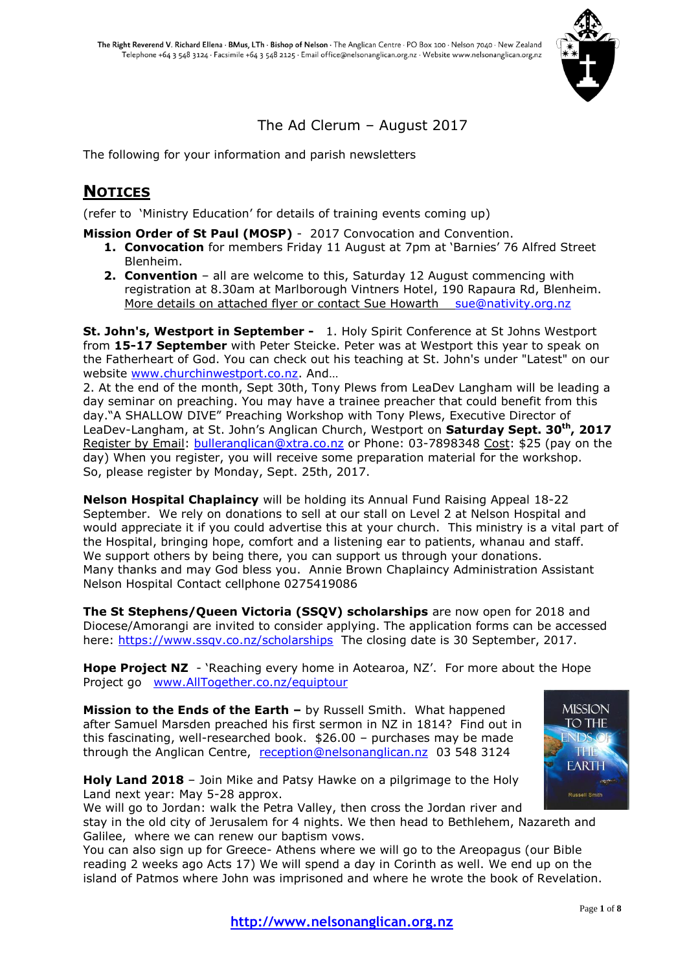

## The Ad Clerum – August 2017

The following for your information and parish newsletters

## **NOTICES**

(refer to 'Ministry Education' for details of training events coming up)

**Mission Order of St Paul (MOSP)** - 2017 Convocation and Convention.

- **1. Convocation** for members Friday 11 August at 7pm at 'Barnies' 76 Alfred Street Blenheim.
- **2. Convention** all are welcome to this, Saturday 12 August commencing with registration at 8.30am at Marlborough Vintners Hotel, 190 Rapaura Rd, Blenheim. More details on attached flyer or contact Sue Howarth [sue@nativity.org.nz](mailto:sue@nativity.org.nz)

**St. John's, Westport in September -** 1. Holy Spirit Conference at St Johns Westport from **15-17 September** with Peter Steicke. Peter was at Westport this year to speak on the Fatherheart of God. You can check out his teaching at St. John's under "Latest" on our website [www.churchinwestport.co.nz.](http://www.churchinwestport.co.nz/) And…

2. At the end of the month, Sept 30th, Tony Plews from LeaDev Langham will be leading a day seminar on preaching. You may have a trainee preacher that could benefit from this day."A SHALLOW DIVE" Preaching Workshop with Tony Plews, Executive Director of LeaDev-Langham, at St. John's Anglican Church, Westport on **Saturday Sept. 30th, 2017** Register by Email: [bulleranglican@xtra.co.nz](mailto:bulleranglican@xtra.co.nz) or Phone: 03-7898348 Cost: \$25 (pay on the day) When you register, you will receive some preparation material for the workshop. So, please register by Monday, Sept. 25th, 2017.

**Nelson Hospital Chaplaincy** will be holding its Annual Fund Raising Appeal 18-22 September. We rely on donations to sell at our stall on Level 2 at Nelson Hospital and would appreciate it if you could advertise this at your church. This ministry is a vital part of the Hospital, bringing hope, comfort and a listening ear to patients, whanau and staff. We support others by being there, you can support us through your donations. Many thanks and may God bless you. Annie Brown Chaplaincy Administration Assistant Nelson Hospital Contact cellphone 0275419086

**The St Stephens/Queen Victoria (SSQV) scholarships** are now open for 2018 and Diocese/Amorangi are invited to consider applying. The application forms can be accessed here:<https://www.ssqv.co.nz/scholarships> The closing date is 30 September, 2017.

**Hope Project NZ** - 'Reaching every home in Aotearoa, NZ'. For more about the Hope Project go [www.AllTogether.co.nz/equiptour](http://www.alltogether.co.nz/equiptour)

**Mission to the Ends of the Earth –** by Russell Smith. What happened after Samuel Marsden preached his first sermon in NZ in 1814? Find out in this fascinating, well-researched book. \$26.00 – purchases may be made through the Anglican Centre, [reception@nelsonanglican.nz](mailto:reception@nelsonanglican.nz) 03 548 3124





We will go to Jordan: walk the Petra Valley, then cross the Jordan river and stay in the old city of Jerusalem for 4 nights. We then head to Bethlehem, Nazareth and Galilee, where we can renew our baptism vows.

You can also sign up for Greece- Athens where we will go to the Areopagus (our Bible reading 2 weeks ago Acts 17) We will spend a day in Corinth as well. We end up on the island of Patmos where John was imprisoned and where he wrote the book of Revelation.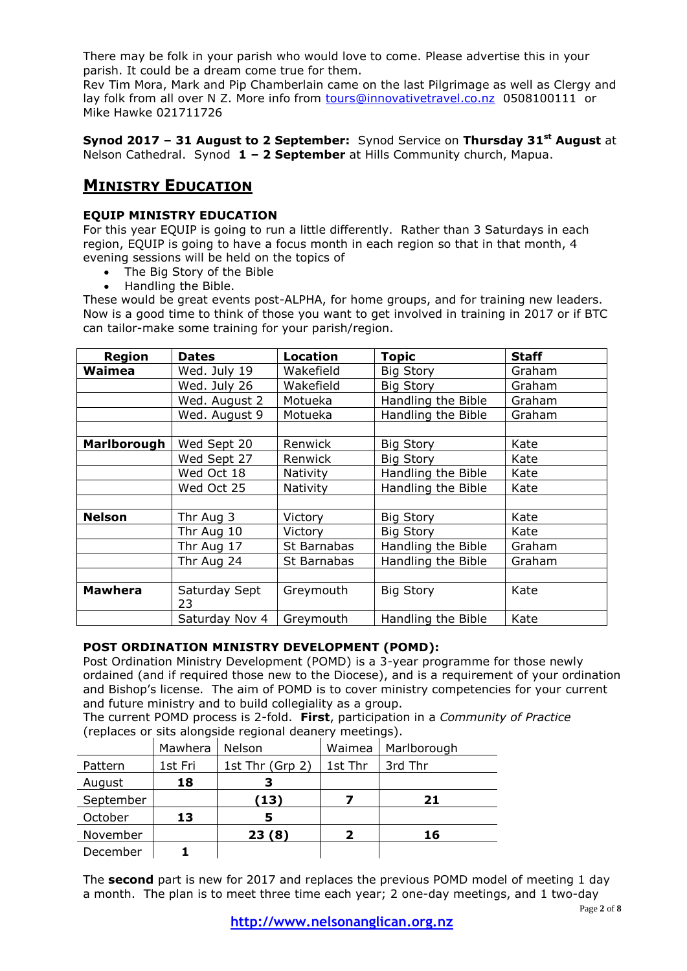There may be folk in your parish who would love to come. Please advertise this in your parish. It could be a dream come true for them.

Rev Tim Mora, Mark and Pip Chamberlain came on the last Pilgrimage as well as Clergy and lay folk from all over N Z. More info from [tours@innovativetravel.co.nz](mailto:tours@innovativetravel.co.nz) 0508100111 or Mike Hawke 021711726

**Synod 2017 – 31 August to 2 September:** Synod Service on **Thursday 31st August** at Nelson Cathedral. Synod **1 – 2 September** at Hills Community church, Mapua.

## **MINISTRY EDUCATION**

## **EQUIP MINISTRY EDUCATION**

For this year EQUIP is going to run a little differently. Rather than 3 Saturdays in each region, EQUIP is going to have a focus month in each region so that in that month, 4 evening sessions will be held on the topics of

- The Big Story of the Bible
- Handling the Bible.

These would be great events post-ALPHA, for home groups, and for training new leaders. Now is a good time to think of those you want to get involved in training in 2017 or if BTC can tailor-make some training for your parish/region.

| <b>Region</b>  | <b>Dates</b>        | <b>Location</b> | <b>Topic</b>       | <b>Staff</b> |
|----------------|---------------------|-----------------|--------------------|--------------|
| Waimea         | Wed. July 19        | Wakefield       | <b>Big Story</b>   | Graham       |
|                | Wed. July 26        | Wakefield       | <b>Big Story</b>   | Graham       |
|                | Wed. August 2       | Motueka         | Handling the Bible | Graham       |
|                | Wed. August 9       | Motueka         | Handling the Bible | Graham       |
|                |                     |                 |                    |              |
| Marlborough    | Wed Sept 20         | Renwick         | <b>Big Story</b>   | Kate         |
|                | Wed Sept 27         | Renwick         | <b>Big Story</b>   | Kate         |
|                | Wed Oct 18          | Nativity        | Handling the Bible | Kate         |
|                | Wed Oct 25          | Nativity        | Handling the Bible | Kate         |
|                |                     |                 |                    |              |
| <b>Nelson</b>  | Thr Aug 3           | Victory         | <b>Big Story</b>   | Kate         |
|                | Thr Aug 10          | Victory         | <b>Big Story</b>   | Kate         |
|                | Thr Aug 17          | St Barnabas     | Handling the Bible | Graham       |
|                | Thr Aug 24          | St Barnabas     | Handling the Bible | Graham       |
|                |                     |                 |                    |              |
| <b>Mawhera</b> | Saturday Sept<br>23 | Greymouth       | <b>Big Story</b>   | Kate         |
|                | Saturday Nov 4      | Greymouth       | Handling the Bible | Kate         |

## **POST ORDINATION MINISTRY DEVELOPMENT (POMD):**

Post Ordination Ministry Development (POMD) is a 3-year programme for those newly ordained (and if required those new to the Diocese), and is a requirement of your ordination and Bishop's license. The aim of POMD is to cover ministry competencies for your current and future ministry and to build collegiality as a group.

The current POMD process is 2-fold. **First**, participation in a *Community of Practice* (replaces or sits alongside regional deanery meetings).

|           | Mawhera | <b>Nelson</b>   | Waimea  | Marlborough |
|-----------|---------|-----------------|---------|-------------|
| Pattern   | 1st Fri | 1st Thr (Grp 2) | 1st Thr | 3rd Thr     |
| August    | 18      |                 |         |             |
| September |         | (13)            |         | 21          |
| October   | 13      |                 |         |             |
| November  |         | 23(8)           |         | 16          |
| December  |         |                 |         |             |

The **second** part is new for 2017 and replaces the previous POMD model of meeting 1 day a month. The plan is to meet three time each year; 2 one-day meetings, and 1 two-day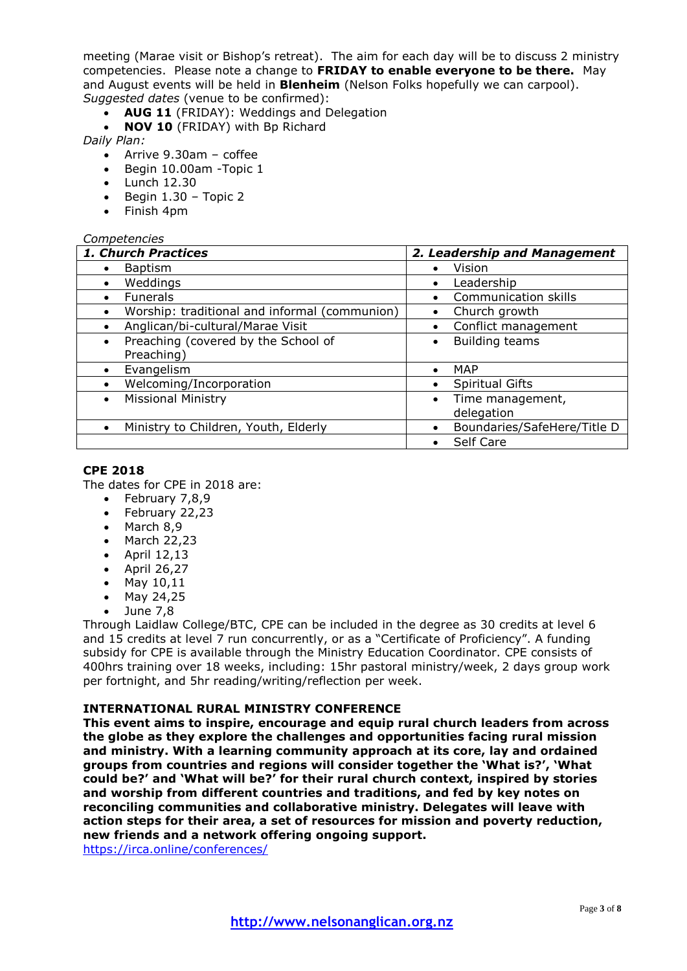meeting (Marae visit or Bishop's retreat). The aim for each day will be to discuss 2 ministry competencies. Please note a change to **FRIDAY to enable everyone to be there.** May and August events will be held in **Blenheim** (Nelson Folks hopefully we can carpool). *Suggested dates* (venue to be confirmed):

- **AUG 11** (FRIDAY): Weddings and Delegation
- **NOV 10** (FRIDAY) with Bp Richard

*Daily Plan:*

- Arrive 9.30am coffee
- Begin 10.00am -Topic 1
- Lunch 12.30
- $\bullet$  Begin 1.30 Topic 2
- Finish 4pm

## *Competencies*

| 1. Church Practices                              | 2. Leadership and Management             |  |  |
|--------------------------------------------------|------------------------------------------|--|--|
| <b>Baptism</b><br>$\bullet$                      | Vision<br>$\bullet$                      |  |  |
| Weddings                                         | Leadership<br>$\bullet$                  |  |  |
| <b>Funerals</b>                                  | Communication skills<br>$\bullet$        |  |  |
| Worship: traditional and informal (communion)    | Church growth<br>$\bullet$               |  |  |
| Anglican/bi-cultural/Marae Visit                 | Conflict management<br>$\bullet$         |  |  |
| Preaching (covered by the School of<br>$\bullet$ | <b>Building teams</b><br>٠               |  |  |
| Preaching)                                       |                                          |  |  |
| Evangelism                                       | <b>MAP</b><br>$\bullet$                  |  |  |
| Welcoming/Incorporation                          | <b>Spiritual Gifts</b><br>$\bullet$      |  |  |
| <b>Missional Ministry</b>                        | Time management,<br>$\bullet$            |  |  |
|                                                  | delegation                               |  |  |
| Ministry to Children, Youth, Elderly             | Boundaries/SafeHere/Title D<br>$\bullet$ |  |  |
|                                                  | Self Care<br>$\bullet$                   |  |  |

#### **CPE 2018**

The dates for CPE in 2018 are:

- $\bullet$  February 7,8,9
- February 22,23
- March 8.9
- $\bullet$  March 22.23
- $\bullet$  April 12,13
- $\bullet$  April 26,27
- $-May 10,11$
- May 24,25
- $\bullet$  June 7.8

Through Laidlaw College/BTC, CPE can be included in the degree as 30 credits at level 6 and 15 credits at level 7 run concurrently, or as a "Certificate of Proficiency". A funding subsidy for CPE is available through the Ministry Education Coordinator. CPE consists of 400hrs training over 18 weeks, including: 15hr pastoral ministry/week, 2 days group work per fortnight, and 5hr reading/writing/reflection per week.

## **INTERNATIONAL RURAL MINISTRY CONFERENCE**

**This event aims to inspire, encourage and equip rural church leaders from across the globe as they explore the challenges and opportunities facing rural mission and ministry. With a learning community approach at its core, lay and ordained groups from countries and regions will consider together the 'What is?', 'What could be?' and 'What will be?' for their rural church context, inspired by stories and worship from different countries and traditions, and fed by key notes on reconciling communities and collaborative ministry. Delegates will leave with action steps for their area, a set of resources for mission and poverty reduction, new friends and a network offering ongoing support.**

<https://irca.online/conferences/>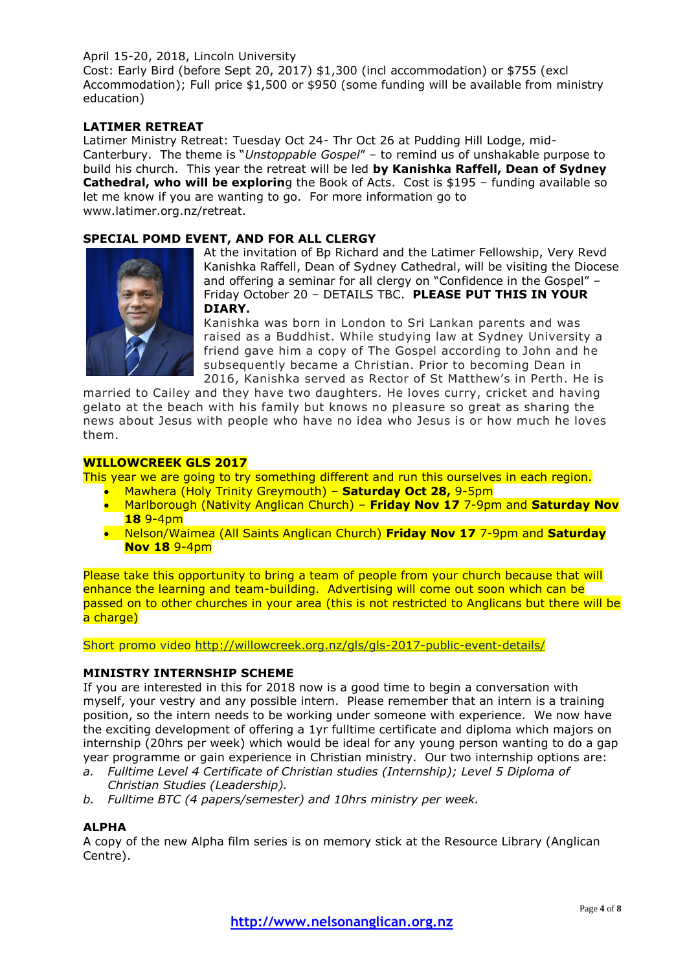## April 15-20, 2018, Lincoln University

Cost: Early Bird (before Sept 20, 2017) \$1,300 (incl accommodation) or \$755 (excl Accommodation); Full price \$1,500 or \$950 (some funding will be available from ministry education)

## **LATIMER RETREAT**

Latimer Ministry Retreat: Tuesday Oct 24- Thr Oct 26 at Pudding Hill Lodge, mid-Canterbury. The theme is "*Unstoppable Gospel*" – to remind us of unshakable purpose to build his church. This year the retreat will be led **by Kanishka Raffell, Dean of Sydney Cathedral, who will be explorin**g the Book of Acts. Cost is \$195 - funding available so let me know if you are wanting to go. For more information go to www.latimer.org.nz/retreat.

#### **SPECIAL POMD EVENT, AND FOR ALL CLERGY**



At the invitation of Bp Richard and the Latimer Fellowship, Very Revd Kanishka Raffell, Dean of Sydney Cathedral, will be visiting the Diocese and offering a seminar for all clergy on "Confidence in the Gospel" – Friday October 20 – DETAILS TBC. **PLEASE PUT THIS IN YOUR DIARY.**

Kanishka was born in London to Sri Lankan parents and was raised as a Buddhist. While studying law at Sydney University a friend gave him a copy of The Gospel according to John and he subsequently became a Christian. Prior to becoming Dean in 2016, Kanishka served as Rector of St Matthew's in Perth. He is

married to Cailey and they have two daughters. He loves curry, cricket and having gelato at the beach with his family but knows no pleasure so great as sharing the news about Jesus with people who have no idea who Jesus is or how much he loves them.

#### **WILLOWCREEK GLS 2017**

This year we are going to try something different and run this ourselves in each region.

- Mawhera (Holy Trinity Greymouth) **Saturday Oct 28,** 9-5pm
- Marlborough (Nativity Anglican Church) **Friday Nov 17** 7-9pm and **Saturday Nov 18** 9-4pm
- Nelson/Waimea (All Saints Anglican Church) **Friday Nov 17** 7-9pm and **Saturday Nov 18** 9-4pm

Please take this opportunity to bring a team of people from your church because that will enhance the learning and team-building. Advertising will come out soon which can be passed on to other churches in your area (this is not restricted to Anglicans but there will be a charge)

Short promo video<http://willowcreek.org.nz/gls/gls-2017-public-event-details/>

#### **MINISTRY INTERNSHIP SCHEME**

If you are interested in this for 2018 now is a good time to begin a conversation with myself, your vestry and any possible intern. Please remember that an intern is a training position, so the intern needs to be working under someone with experience. We now have the exciting development of offering a 1yr fulltime certificate and diploma which majors on internship (20hrs per week) which would be ideal for any young person wanting to do a gap year programme or gain experience in Christian ministry. Our two internship options are:

- *a. Fulltime Level 4 Certificate of Christian studies (Internship); Level 5 Diploma of Christian Studies (Leadership).*
- *b. Fulltime BTC (4 papers/semester) and 10hrs ministry per week.*

#### **ALPHA**

A copy of the new Alpha film series is on memory stick at the Resource Library (Anglican Centre).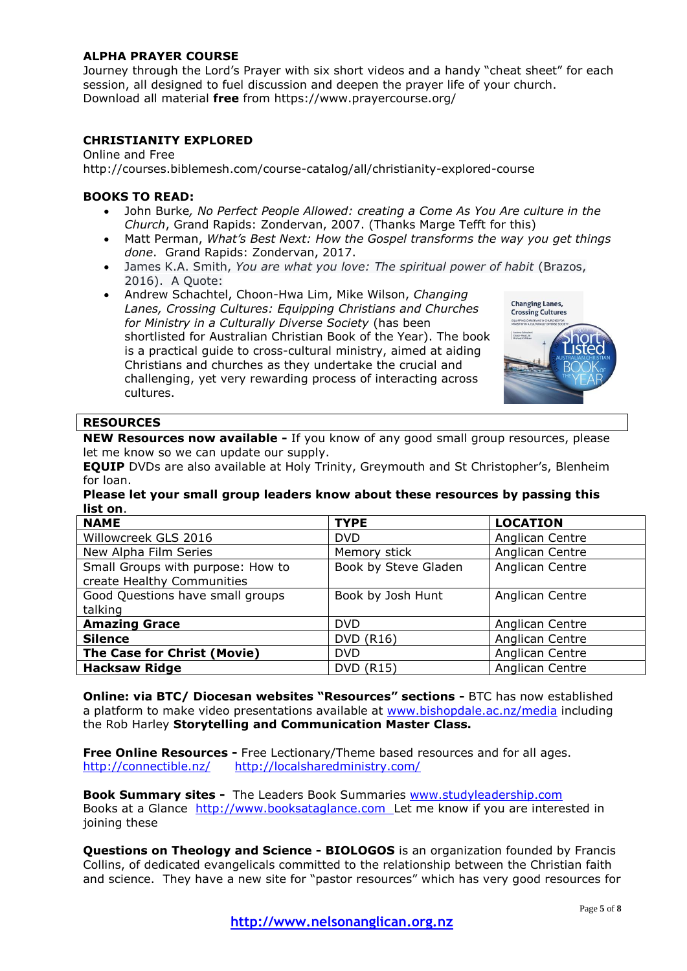## **ALPHA PRAYER COURSE**

Journey through the Lord's Prayer with six short videos and a handy "cheat sheet" for each session, all designed to fuel discussion and deepen the prayer life of your church. Download all material **free** from https://www.prayercourse.org/

## **CHRISTIANITY EXPLORED**

Online and Free

http://courses.biblemesh.com/course-catalog/all/christianity-explored-course

## **BOOKS TO READ:**

- John Burke*, No Perfect People Allowed: creating a Come As You Are culture in the Church*, Grand Rapids: Zondervan, 2007. (Thanks Marge Tefft for this)
- Matt Perman, *What's Best Next: How the Gospel transforms the way you get things done*. Grand Rapids: Zondervan, 2017.
- James K.A. Smith, *You are what you love: The spiritual power of habit* (Brazos, 2016). A Quote:
- Andrew Schachtel, Choon-Hwa Lim, Mike Wilson, *Changing Lanes, Crossing Cultures: Equipping Christians and Churches for Ministry in a Culturally Diverse Society* (has been shortlisted for Australian Christian Book of the Year). The book is a practical guide to cross-cultural ministry, aimed at aiding Christians and churches as they undertake the crucial and challenging, yet very rewarding process of interacting across cultures.



## **RESOURCES**

**NEW Resources now available -** If you know of any good small group resources, please let me know so we can update our supply.

**EQUIP** DVDs are also available at Holy Trinity, Greymouth and St Christopher's, Blenheim for loan.

#### **Please let your small group leaders know about these resources by passing this list on**.

| <b>NAME</b>                       | <b>TYPE</b>          | <b>LOCATION</b> |
|-----------------------------------|----------------------|-----------------|
| Willowcreek GLS 2016              | DVD.                 | Anglican Centre |
| New Alpha Film Series             | Memory stick         | Anglican Centre |
| Small Groups with purpose: How to | Book by Steve Gladen | Anglican Centre |
| create Healthy Communities        |                      |                 |
| Good Questions have small groups  | Book by Josh Hunt    | Anglican Centre |
| talking                           |                      |                 |
| <b>Amazing Grace</b>              | <b>DVD</b>           | Anglican Centre |
| <b>Silence</b>                    | <b>DVD (R16)</b>     | Anglican Centre |
| The Case for Christ (Movie)       | DVD.                 | Anglican Centre |
| <b>Hacksaw Ridge</b>              | <b>DVD (R15)</b>     | Anglican Centre |

**Online: via BTC/ Diocesan websites "Resources" sections -** BTC has now established a platform to make video presentations available at [www.bishopdale.ac.nz/media](http://www.bishopdale.ac.nz/media) including the Rob Harley **Storytelling and Communication Master Class.**

**Free Online Resources -** Free Lectionary/Theme based resources and for all ages. <http://connectible.nz/><http://localsharedministry.com/>

**Book Summary sites -** The Leaders Book Summaries [www.studyleadership.com](http://www.studyleadership.com/) Books at a Glance [http://www.booksataglance.com](http://www.booksataglance.com/) Let me know if you are interested in joining these

**Questions on Theology and Science - BIOLOGOS** is an organization founded by Francis Collins, of dedicated evangelicals committed to the relationship between the Christian faith and science. They have a new site for "pastor resources" which has very good resources for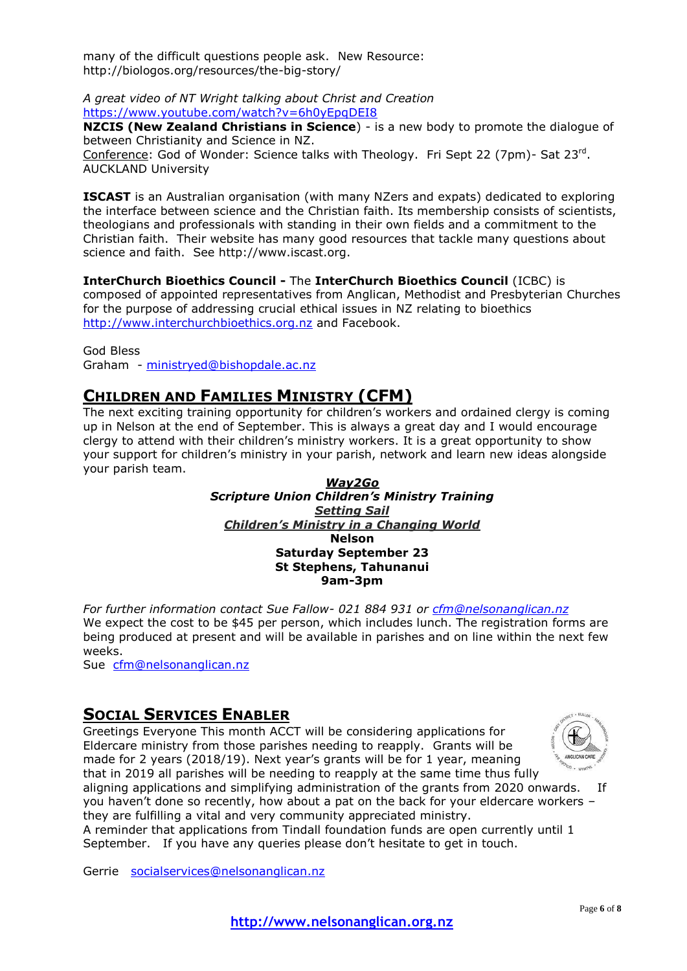many of the difficult questions people ask. New Resource: http://biologos.org/resources/the-big-story/

*A great video of NT Wright talking about Christ and Creation* <https://www.youtube.com/watch?v=6h0yEpqDEI8>

**NZCIS (New Zealand Christians in Science**) - is a new body to promote the dialogue of between Christianity and Science in NZ. Conference: God of Wonder: Science talks with Theology. Fri Sept 22 (7pm)- Sat 23<sup>rd</sup>. AUCKLAND University

**ISCAST** is an Australian organisation (with many NZers and expats) dedicated to exploring the interface between science and the Christian faith. Its membership consists of scientists, theologians and professionals with standing in their own fields and a commitment to the Christian faith. Their website has many good resources that tackle many questions about science and faith. See http://www.iscast.org.

**InterChurch Bioethics Council -** The **InterChurch Bioethics Council** (ICBC) is composed of appointed representatives from Anglican, Methodist and Presbyterian Churches for the purpose of addressing crucial ethical issues in NZ relating to bioethics [http://www.interchurchbioethics.org.nz](http://www.interchurchbioethics.org.nz/) and Facebook.

God Bless Graham - [ministryed@bishopdale.ac.nz](mailto:ministryed@bishopdale.ac.nz)

## **CHILDREN AND FAMILIES MINISTRY (CFM)**

The next exciting training opportunity for children's workers and ordained clergy is coming up in Nelson at the end of September. This is always a great day and I would encourage clergy to attend with their children's ministry workers. It is a great opportunity to show your support for children's ministry in your parish, network and learn new ideas alongside your parish team.

## *Way2Go Scripture Union Children's Ministry Training Setting Sail Children's Ministry in a Changing World* **Nelson Saturday September 23 St Stephens, Tahunanui 9am-3pm**

*For further information contact Sue Fallow- 021 884 931 or [cfm@nelsonanglican.nz](mailto:cfm@nelsonanglican.nz)* We expect the cost to be \$45 per person, which includes lunch. The registration forms are being produced at present and will be available in parishes and on line within the next few weeks.

Sue [cfm@nelsonanglican.nz](mailto:cfm@nelsonanglican.nz)

## **SOCIAL SERVICES ENABLER**

Greetings Everyone This month ACCT will be considering applications for Eldercare ministry from those parishes needing to reapply. Grants will be made for 2 years (2018/19). Next year's grants will be for 1 year, meaning that in 2019 all parishes will be needing to reapply at the same time thus fully



aligning applications and simplifying administration of the grants from 2020 onwards. If you haven't done so recently, how about a pat on the back for your eldercare workers – they are fulfilling a vital and very community appreciated ministry.

A reminder that applications from Tindall foundation funds are open currently until 1 September. If you have any queries please don't hesitate to get in touch.

Gerrie [socialservices@nelsonanglican.nz](mailto:socialservices@nelsonanglican.nz)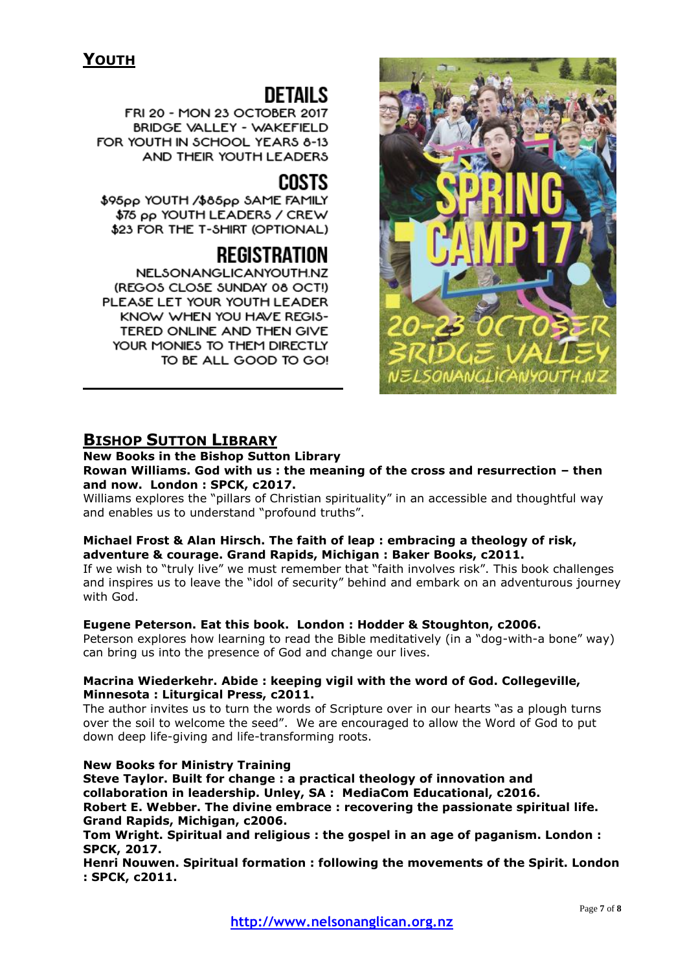# DETAIL S

FRI 20 - MON 23 OCTOBER 2017 BRIDGE VALLEY - WAKEFIELD FOR YOUTH IN SCHOOL YEARS 8-13 AND THEIR YOUTH LEADERS

## **COSTS**

\$95pp YOUTH /\$85pp SAME FAMILY \$75 pp YOUTH LEADERS / CREW \$23 FOR THE T-SHIRT (OPTIONAL)

## REGISTRATION

**NELSONANGLICANYOUTH.NZ** (REGOS CLOSE SUNDAY 08 OCT!) PLEASE LET YOUR YOUTH LEADER KNOW WHEN YOU HAVE REGIS-TERED ONLINE AND THEN GIVE YOUR MONIES TO THEM DIRECTLY TO BE ALL GOOD TO GO!



## **BISHOP SUTTON LIBRARY**

#### **New Books in the Bishop Sutton Library Rowan Williams. God with us : the meaning of the cross and resurrection – then and now. London : SPCK, c2017.**

Williams explores the "pillars of Christian spirituality" in an accessible and thoughtful way and enables us to understand "profound truths".

## **Michael Frost & Alan Hirsch. The faith of leap : embracing a theology of risk, adventure & courage. Grand Rapids, Michigan : Baker Books, c2011.**

If we wish to "truly live" we must remember that "faith involves risk". This book challenges and inspires us to leave the "idol of security" behind and embark on an adventurous journey with God.

## **Eugene Peterson. Eat this book. London : Hodder & Stoughton, c2006.**

Peterson explores how learning to read the Bible meditatively (in a "dog-with-a bone" way) can bring us into the presence of God and change our lives.

## **Macrina Wiederkehr. Abide : keeping vigil with the word of God. Collegeville, Minnesota : Liturgical Press, c2011.**

The author invites us to turn the words of Scripture over in our hearts "as a plough turns over the soil to welcome the seed". We are encouraged to allow the Word of God to put down deep life-giving and life-transforming roots.

## **New Books for Ministry Training**

**Steve Taylor. Built for change : a practical theology of innovation and collaboration in leadership. Unley, SA : MediaCom Educational, c2016. Robert E. Webber. The divine embrace : recovering the passionate spiritual life. Grand Rapids, Michigan, c2006.** 

**Tom Wright. Spiritual and religious : the gospel in an age of paganism. London : SPCK, 2017.**

**Henri Nouwen. Spiritual formation : following the movements of the Spirit. London : SPCK, c2011.**